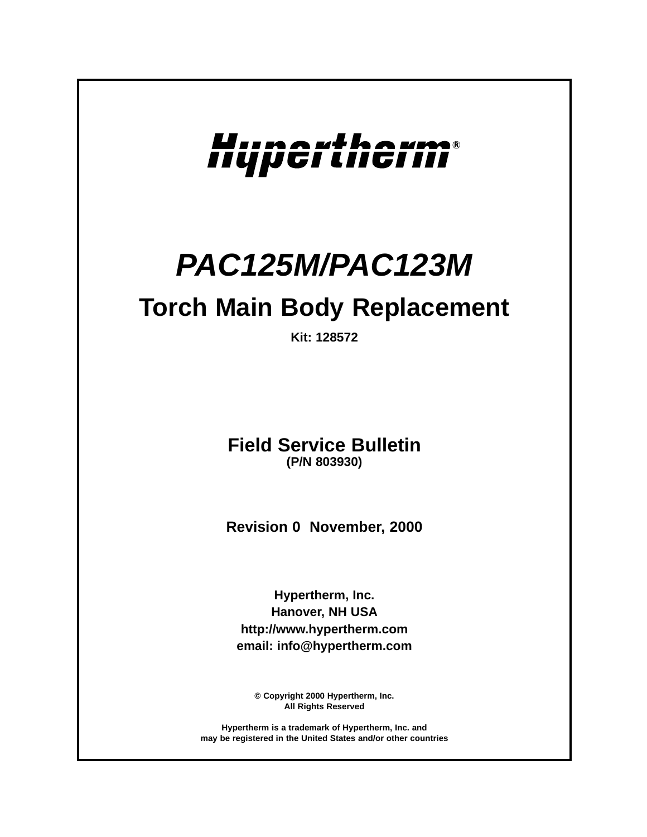

# **PAC125M/PAC123M**

# **Torch Main Body Replacement**

**Kit: 128572**

**Field Service Bulletin (P/N 803930)**

**Revision 0 November, 2000**

**Hypertherm, Inc. Hanover, NH USA http://www.hypertherm.com email: info@hypertherm.com**

**© Copyright 2000 Hypertherm, Inc. All Rights Reserved**

**Hypertherm is a trademark of Hypertherm, Inc. and may be registered in the United States and/or other countries**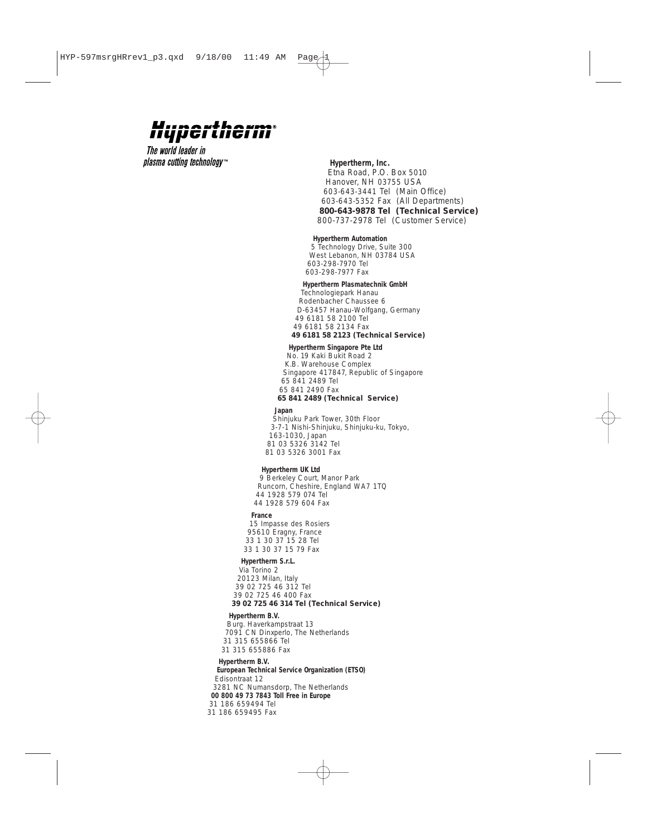### **U**iinaithaim nypertherin

The world leader in *plasma cutting technology*™

#### *Hypertherm, Inc.*

*Etna Road, P.O. Box 5010 Hanover, NH 03755 USA 603-643-3441 Tel (Main Office) 603-643-5352 Fax (All Departments) 800-643-9878 Tel (Technical Service) 800-737-2978 Tel (Customer Service)* 

#### *Hypertherm Automation*

*5 Technology Drive, Suite 300 West Lebanon, NH 03784 USA 603-298-7970 Tel 603-298-7977 Fax*

#### *Hypertherm Plasmatechnik GmbH*

*Technologiepark Hanau Rodenbacher Chaussee 6 D-63457 Hanau-Wolfgang, Germany 49 6181 58 2100 Tel 49 6181 58 2134 Fax 49 6181 58 2123 (Technical Service)*

#### *Hypertherm Singapore Pte Ltd*

*No. 19 Kaki Bukit Road 2 K.B. Warehouse Complex Singapore 417847, Republic of Singapore 65 841 2489 Tel 65 841 2490 Fax 65 841 2489 (Technical Service)*

#### *Japan*

*Shinjuku Park Tower, 30th Floor 3-7-1 Nishi-Shinjuku, Shinjuku-ku, Tokyo, 163-1030, Japan 81 03 5326 3142 Tel 81 03 5326 3001 Fax*

#### *Hypertherm UK Ltd*

*9 Berkeley Court, Manor Park Runcorn, Cheshire, England WA7 1TQ 44 1928 579 074 Tel 44 1928 579 604 Fax* 

#### *France*

*15 Impasse des Rosiers 95610 Eragny, France 33 1 30 37 15 28 Tel 33 1 30 37 15 79 Fax* 

#### *Hypertherm S.r.L.*

*Via Torino 2 20123 Milan, Italy 39 02 725 46 312 Tel 39 02 725 46 400 Fax 39 02 725 46 314 Tel (Technical Service)*

#### *Hypertherm B.V.*

*Burg. Haverkampstraat 13 7091 CN Dinxperlo, The Netherlands 31 315 655866 Tel 31 315 655886 Fax*

#### *Hypertherm B.V.*

*European Technical Service Organization (ETSO) Edisontraat 12 3281 NC Numansdorp, The Netherlands 00 800 49 73 7843 Toll Free in Europe 31 186 659494 Tel 31 186 659495 Fax*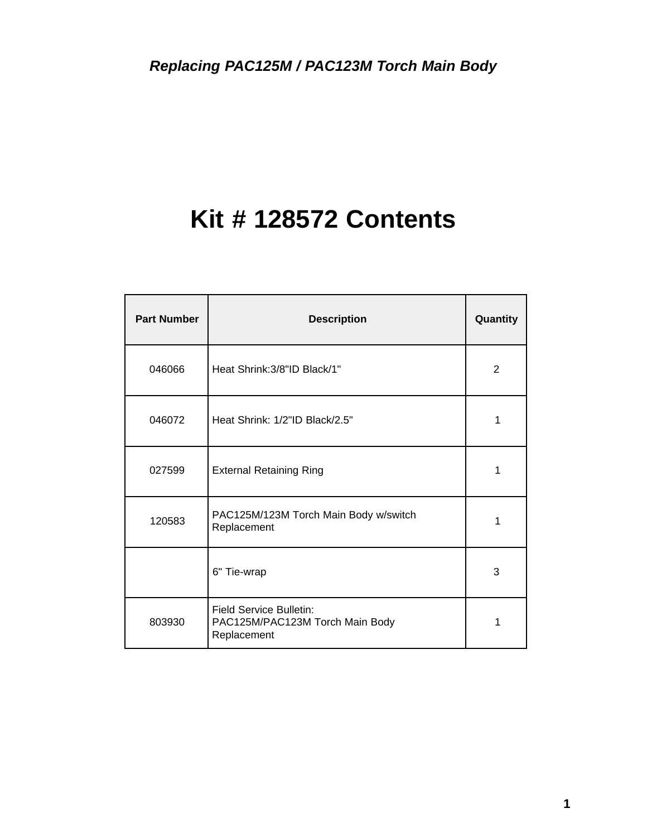# **Kit # 128572 Contents**

| <b>Part Number</b> | <b>Description</b>                                                               | Quantity |
|--------------------|----------------------------------------------------------------------------------|----------|
| 046066             | Heat Shrink: 3/8"ID Black/1"                                                     | 2        |
| 046072             | Heat Shrink: 1/2"ID Black/2.5"                                                   | 1        |
| 027599             | <b>External Retaining Ring</b>                                                   | 1        |
| 120583             | PAC125M/123M Torch Main Body w/switch<br>Replacement                             | 1        |
|                    | 6" Tie-wrap                                                                      | 3        |
| 803930             | <b>Field Service Bulletin:</b><br>PAC125M/PAC123M Torch Main Body<br>Replacement | 1        |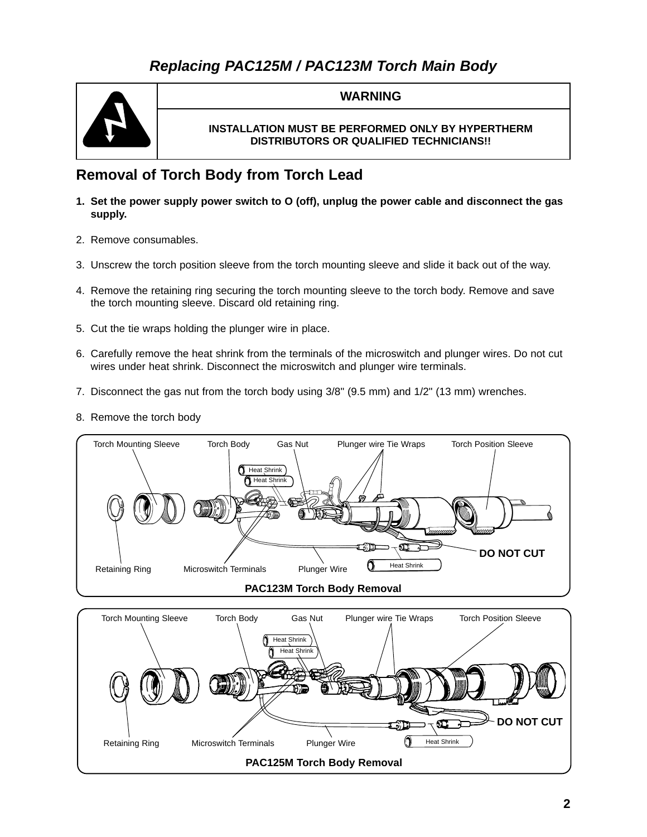# **Replacing PAC125M / PAC123M Torch Main Body**



## **WARNING**

## **INSTALLATION MUST BE PERFORMED ONLY BY HYPERTHERM DISTRIBUTORS OR QUALIFIED TECHNICIANS!!**

## **Removal of Torch Body from Torch Lead**

- **1. Set the power supply power switch to O (off), unplug the power cable and disconnect the gas supply.**
- 2. Remove consumables.
- 3. Unscrew the torch position sleeve from the torch mounting sleeve and slide it back out of the way.
- 4. Remove the retaining ring securing the torch mounting sleeve to the torch body. Remove and save the torch mounting sleeve. Discard old retaining ring.
- 5. Cut the tie wraps holding the plunger wire in place.
- 6. Carefully remove the heat shrink from the terminals of the microswitch and plunger wires. Do not cut wires under heat shrink. Disconnect the microswitch and plunger wire terminals.
- 7. Disconnect the gas nut from the torch body using 3/8" (9.5 mm) and 1/2" (13 mm) wrenches.
- 8. Remove the torch body